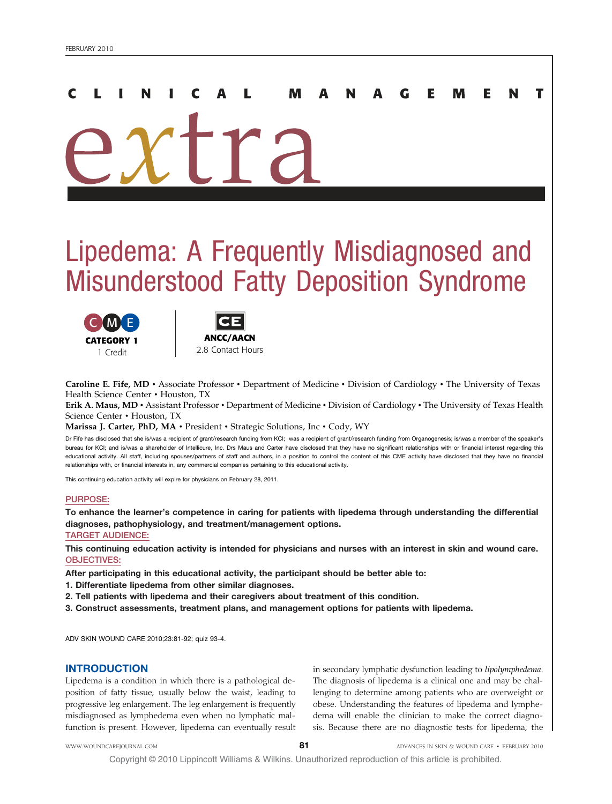# Lipedema: A Frequently Misdiagnosed and Misunderstood Fatty Deposition Syndrome





Caroline E. Fife, MD • Associate Professor • Department of Medicine • Division of Cardiology • The University of Texas Health Science Center . Houston, TX

Erik A. Maus, MD • Assistant Professor • Department of Medicine • Division of Cardiology • The University of Texas Health Science Center • Houston, TX

Marissa J. Carter, PhD, MA · President · Strategic Solutions, Inc · Cody, WY

Dr Fife has disclosed that she is/was a recipient of grant/research funding from KCI; was a recipient of grant/research funding from Organogenesis; is/was a member of the speaker's bureau for KCI; and is/was a shareholder of Intellicure, Inc. Drs Maus and Carter have disclosed that they have no significant relationships with or financial interest regarding this educational activity. All staff, including spouses/partners of staff and authors, in a position to control the content of this CME activity have disclosed that they have no financial relationships with, or financial interests in, any commercial companies pertaining to this educational activity.

This continuing education activity will expire for physicians on February 28, 2011.

# PURPOSE:

To enhance the learner's competence in caring for patients with lipedema through understanding the differential diagnoses, pathophysiology, and treatment/management options. TARGET AUDIENCE:

This continuing education activity is intended for physicians and nurses with an interest in skin and wound care. OBJECTIVES:

After participating in this educational activity, the participant should be better able to:

- 1. Differentiate lipedema from other similar diagnoses.
- 2. Tell patients with lipedema and their caregivers about treatment of this condition.
- 3. Construct assessments, treatment plans, and management options for patients with lipedema.

ADV SKIN WOUND CARE 2010;23:81-92; quiz 93-4.

# INTRODUCTION

Lipedema is a condition in which there is a pathological deposition of fatty tissue, usually below the waist, leading to progressive leg enlargement. The leg enlargement is frequently misdiagnosed as lymphedema even when no lymphatic malfunction is present. However, lipedema can eventually result in secondary lymphatic dysfunction leading to lipolymphedema. The diagnosis of lipedema is a clinical one and may be challenging to determine among patients who are overweight or obese. Understanding the features of lipedema and lymphedema will enable the clinician to make the correct diagnosis. Because there are no diagnostic tests for lipedema, the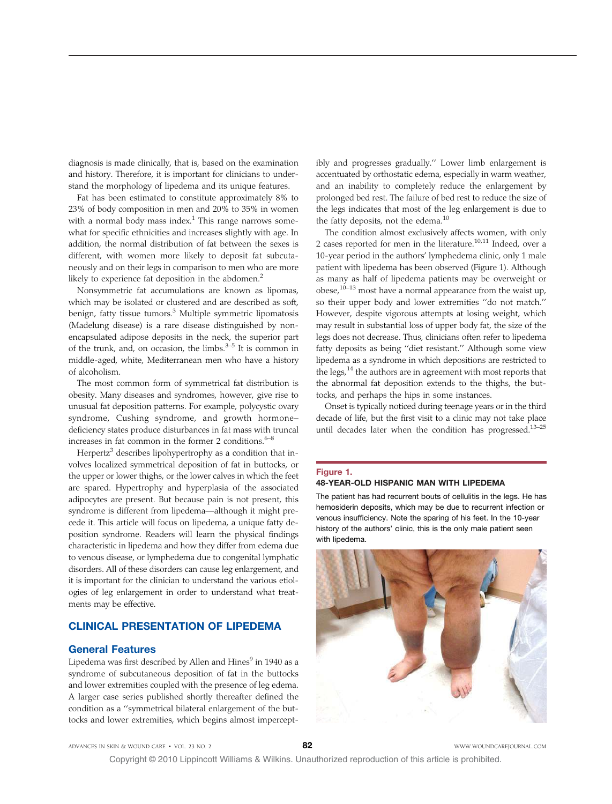diagnosis is made clinically, that is, based on the examination and history. Therefore, it is important for clinicians to understand the morphology of lipedema and its unique features.

Fat has been estimated to constitute approximately 8% to 23% of body composition in men and 20% to 35% in women with a normal body mass index. $1$  This range narrows somewhat for specific ethnicities and increases slightly with age. In addition, the normal distribution of fat between the sexes is different, with women more likely to deposit fat subcutaneously and on their legs in comparison to men who are more likely to experience fat deposition in the abdomen. $<sup>2</sup>$ </sup>

Nonsymmetric fat accumulations are known as lipomas, which may be isolated or clustered and are described as soft, benign, fatty tissue tumors.<sup>3</sup> Multiple symmetric lipomatosis (Madelung disease) is a rare disease distinguished by nonencapsulated adipose deposits in the neck, the superior part of the trunk, and, on occasion, the  $limbs.^{3-5}$  It is common in middle-aged, white, Mediterranean men who have a history of alcoholism.

The most common form of symmetrical fat distribution is obesity. Many diseases and syndromes, however, give rise to unusual fat deposition patterns. For example, polycystic ovary syndrome, Cushing syndrome, and growth hormone– deficiency states produce disturbances in fat mass with truncal increases in fat common in the former 2 conditions. $6-8$ 

Herpertz<sup>3</sup> describes lipohypertrophy as a condition that involves localized symmetrical deposition of fat in buttocks, or the upper or lower thighs, or the lower calves in which the feet are spared. Hypertrophy and hyperplasia of the associated adipocytes are present. But because pain is not present, this syndrome is different from lipedema-although it might precede it. This article will focus on lipedema, a unique fatty deposition syndrome. Readers will learn the physical findings characteristic in lipedema and how they differ from edema due to venous disease, or lymphedema due to congenital lymphatic disorders. All of these disorders can cause leg enlargement, and it is important for the clinician to understand the various etiologies of leg enlargement in order to understand what treatments may be effective.

# CLINICAL PRESENTATION OF LIPEDEMA

# General Features

Lipedema was first described by Allen and Hines $^9$  in 1940 as a syndrome of subcutaneous deposition of fat in the buttocks and lower extremities coupled with the presence of leg edema. A larger case series published shortly thereafter defined the condition as a ''symmetrical bilateral enlargement of the buttocks and lower extremities, which begins almost imperceptibly and progresses gradually.'' Lower limb enlargement is accentuated by orthostatic edema, especially in warm weather, and an inability to completely reduce the enlargement by prolonged bed rest. The failure of bed rest to reduce the size of the legs indicates that most of the leg enlargement is due to the fatty deposits, not the edema. $10$ 

The condition almost exclusively affects women, with only 2 cases reported for men in the literature. $10,11$  Indeed, over a 10-year period in the authors' lymphedema clinic, only 1 male patient with lipedema has been observed (Figure 1). Although as many as half of lipedema patients may be overweight or obese,  $10-13$  most have a normal appearance from the waist up, so their upper body and lower extremities ''do not match.'' However, despite vigorous attempts at losing weight, which may result in substantial loss of upper body fat, the size of the legs does not decrease. Thus, clinicians often refer to lipedema fatty deposits as being ''diet resistant.'' Although some view lipedema as a syndrome in which depositions are restricted to the legs,  $14$  the authors are in agreement with most reports that the abnormal fat deposition extends to the thighs, the buttocks, and perhaps the hips in some instances.

Onset is typically noticed during teenage years or in the third decade of life, but the first visit to a clinic may not take place until decades later when the condition has progressed.<sup>13-25</sup>

#### Figure 1.

#### 48-YEAR-OLD HISPANIC MAN WITH LIPEDEMA

The patient has had recurrent bouts of cellulitis in the legs. He has hemosiderin deposits, which may be due to recurrent infection or venous insufficiency. Note the sparing of his feet. In the 10-year history of the authors' clinic, this is the only male patient seen with lipedema.

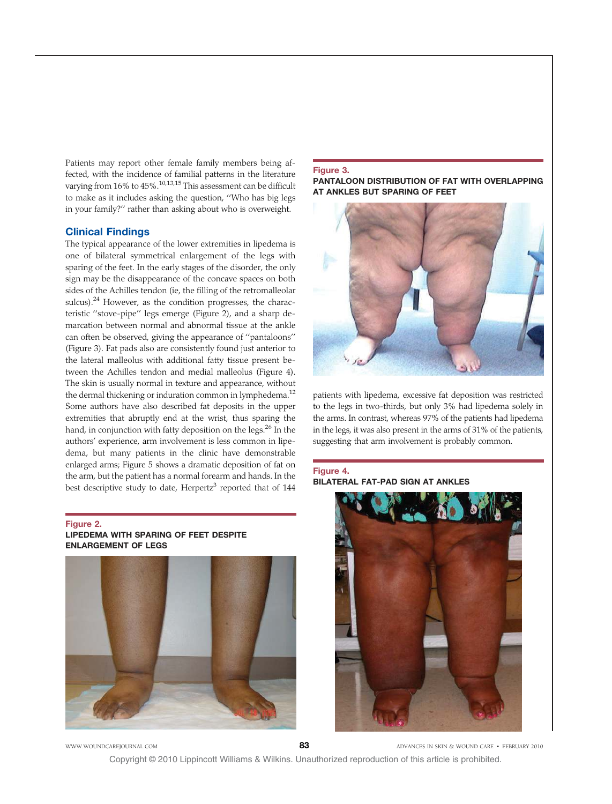Patients may report other female family members being affected, with the incidence of familial patterns in the literature varying from  $16\%$  to  $45\%$ .<sup>10,13,15</sup> This assessment can be difficult to make as it includes asking the question, ''Who has big legs in your family?'' rather than asking about who is overweight.

# Clinical Findings

The typical appearance of the lower extremities in lipedema is one of bilateral symmetrical enlargement of the legs with sparing of the feet. In the early stages of the disorder, the only sign may be the disappearance of the concave spaces on both sides of the Achilles tendon (ie, the filling of the retromalleolar sulcus). $24$  However, as the condition progresses, the characteristic ''stove-pipe'' legs emerge (Figure 2), and a sharp demarcation between normal and abnormal tissue at the ankle can often be observed, giving the appearance of ''pantaloons'' (Figure 3). Fat pads also are consistently found just anterior to the lateral malleolus with additional fatty tissue present between the Achilles tendon and medial malleolus (Figure 4). The skin is usually normal in texture and appearance, without the dermal thickening or induration common in lymphedema.<sup>12</sup> Some authors have also described fat deposits in the upper extremities that abruptly end at the wrist, thus sparing the hand, in conjunction with fatty deposition on the legs.<sup>26</sup> In the authors' experience, arm involvement is less common in lipedema, but many patients in the clinic have demonstrable enlarged arms; Figure 5 shows a dramatic deposition of fat on the arm, but the patient has a normal forearm and hands. In the best descriptive study to date, Herpertz<sup>3</sup> reported that of 144

#### Figure 2. LIPEDEMA WITH SPARING OF FEET DESPITE ENLARGEMENT OF LEGS



#### Figure 3.

PANTALOON DISTRIBUTION OF FAT WITH OVERLAPPING AT ANKLES BUT SPARING OF FEET



patients with lipedema, excessive fat deposition was restricted to the legs in two-thirds, but only 3% had lipedema solely in the arms. In contrast, whereas 97% of the patients had lipedema in the legs, it was also present in the arms of 31% of the patients, suggesting that arm involvement is probably common.

# Figure 4. BILATERAL FAT-PAD SIGN AT ANKLES



WWW.WOUNDCAREJOURNAL.COM **83 83** ADVANCES IN SKIN & WOUND CARE • FEBRUARY 2010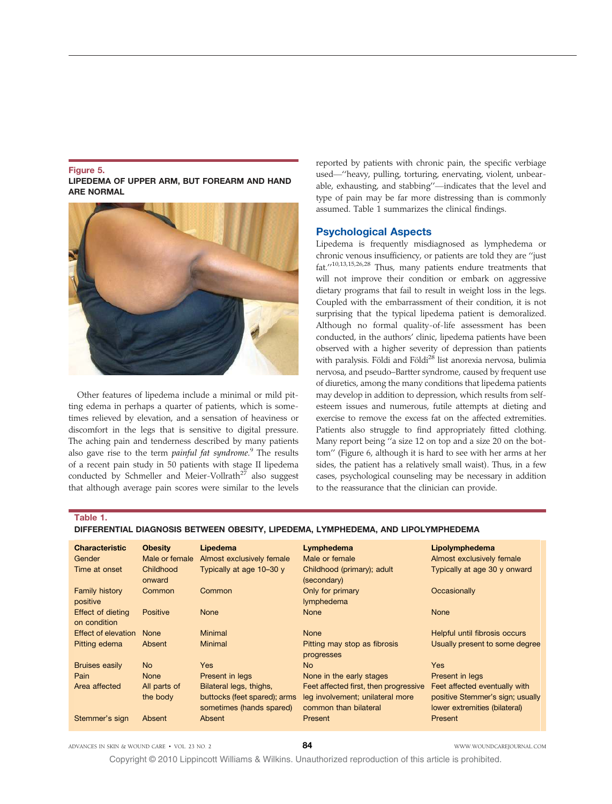#### Figure 5.

LIPEDEMA OF UPPER ARM, BUT FOREARM AND HAND ARE NORMAL



Other features of lipedema include a minimal or mild pitting edema in perhaps a quarter of patients, which is sometimes relieved by elevation, and a sensation of heaviness or discomfort in the legs that is sensitive to digital pressure. The aching pain and tenderness described by many patients also gave rise to the term *painful fat syndrome.*<sup>9</sup> The results of a recent pain study in 50 patients with stage II lipedema conducted by Schmeller and Meier-Vollrath $2^7$  also suggest that although average pain scores were similar to the levels

reported by patients with chronic pain, the specific verbiage used—"heavy, pulling, torturing, enervating, violent, unbearable, exhausting, and stabbing"-indicates that the level and type of pain may be far more distressing than is commonly assumed. Table 1 summarizes the clinical findings.

# Psychological Aspects

Lipedema is frequently misdiagnosed as lymphedema or chronic venous insufficiency, or patients are told they are ''just fat.''10,13,15,26,28 Thus, many patients endure treatments that will not improve their condition or embark on aggressive dietary programs that fail to result in weight loss in the legs. Coupled with the embarrassment of their condition, it is not surprising that the typical lipedema patient is demoralized. Although no formal quality-of-life assessment has been conducted, in the authors' clinic, lipedema patients have been observed with a higher severity of depression than patients with paralysis. Földi and Földi<sup>28</sup> list anorexia nervosa, bulimia nervosa, and pseudo–Bartter syndrome, caused by frequent use of diuretics, among the many conditions that lipedema patients may develop in addition to depression, which results from selfesteem issues and numerous, futile attempts at dieting and exercise to remove the excess fat on the affected extremities. Patients also struggle to find appropriately fitted clothing. Many report being ''a size 12 on top and a size 20 on the bottom'' (Figure 6, although it is hard to see with her arms at her sides, the patient has a relatively small waist). Thus, in a few cases, psychological counseling may be necessary in addition to the reassurance that the clinician can provide.

# Table 1.

DIFFERENTIAL DIAGNOSIS BETWEEN OBESITY, LIPEDEMA, LYMPHEDEMA, AND LIPOLYMPHEDEMA

| <b>Characteristic</b><br>Gender<br>Time at onset | <b>Obesity</b><br>Male or female<br>Childhood<br>onward | Lipedema<br>Almost exclusively female<br>Typically at age 10-30 y                   | Lymphedema<br>Male or female<br>Childhood (primary); adult<br>(secondary)                          | Lipolymphedema<br>Almost exclusively female<br>Typically at age 30 y onward                        |
|--------------------------------------------------|---------------------------------------------------------|-------------------------------------------------------------------------------------|----------------------------------------------------------------------------------------------------|----------------------------------------------------------------------------------------------------|
| <b>Family history</b><br>positive                | Common                                                  | Common                                                                              | Only for primary<br><b>lymphedema</b>                                                              | Occasionally                                                                                       |
| <b>Effect of dieting</b><br>on condition         | <b>Positive</b>                                         | <b>None</b>                                                                         | <b>None</b>                                                                                        | <b>None</b>                                                                                        |
| Effect of elevation                              | <b>None</b>                                             | Minimal                                                                             | <b>None</b>                                                                                        | Helpful until fibrosis occurs                                                                      |
| Pitting edema                                    | Absent                                                  | Minimal                                                                             | Pitting may stop as fibrosis<br>progresses                                                         | Usually present to some degree                                                                     |
| <b>Bruises easily</b>                            | No.                                                     | <b>Yes</b>                                                                          | No.                                                                                                | <b>Yes</b>                                                                                         |
| Pain                                             | <b>None</b>                                             | Present in legs                                                                     | None in the early stages                                                                           | Present in legs                                                                                    |
| Area affected                                    | All parts of<br>the body                                | Bilateral legs, thighs,<br>buttocks (feet spared); arms<br>sometimes (hands spared) | Feet affected first, then progressive<br>leg involvement; unilateral more<br>common than bilateral | Feet affected eventually with<br>positive Stemmer's sign; usually<br>lower extremities (bilateral) |
| Stemmer's sign                                   | Absent                                                  | Absent                                                                              | Present                                                                                            | Present                                                                                            |

ADVANCES IN SKIN & WOUND CARE  $\cdot$  vOL. 23 NO. 2  $\cdot$  84  $\cdot$  84 WWW.WOUNDCAREJOURNAL.COM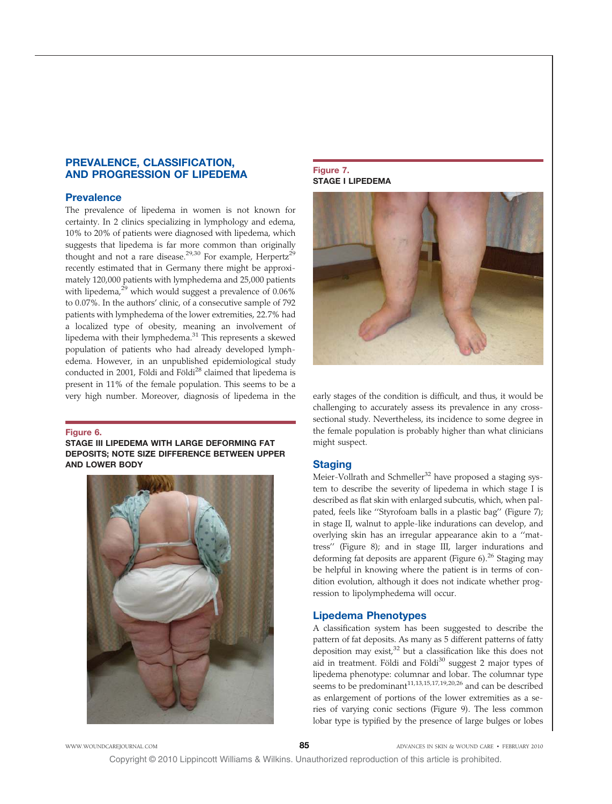# PREVALENCE, CLASSIFICATION, AND PROGRESSION OF LIPEDEMA

# **Prevalence**

The prevalence of lipedema in women is not known for certainty. In 2 clinics specializing in lymphology and edema, 10% to 20% of patients were diagnosed with lipedema, which suggests that lipedema is far more common than originally thought and not a rare disease.<sup>29,30</sup> For example, Herpertz<sup>29</sup> recently estimated that in Germany there might be approximately 120,000 patients with lymphedema and 25,000 patients with lipedema, $29$  which would suggest a prevalence of 0.06% to 0.07%. In the authors' clinic, of a consecutive sample of 792 patients with lymphedema of the lower extremities, 22.7% had a localized type of obesity, meaning an involvement of lipedema with their lymphedema.<sup>31</sup> This represents a skewed population of patients who had already developed lymphedema. However, in an unpublished epidemiological study conducted in 2001, Földi and Földi<sup>28</sup> claimed that lipedema is present in 11% of the female population. This seems to be a very high number. Moreover, diagnosis of lipedema in the early stages of the condition is difficult, and thus, it would be

#### Figure 6.

#### STAGE III LIPEDEMA WITH LARGE DEFORMING FAT DEPOSITS; NOTE SIZE DIFFERENCE BETWEEN UPPER AND LOWER BODY



# Figure 7. STAGE I LIPEDEMA



challenging to accurately assess its prevalence in any crosssectional study. Nevertheless, its incidence to some degree in the female population is probably higher than what clinicians might suspect.

# **Staging**

Meier-Vollrath and Schmeller<sup>32</sup> have proposed a staging system to describe the severity of lipedema in which stage I is described as flat skin with enlarged subcutis, which, when palpated, feels like ''Styrofoam balls in a plastic bag'' (Figure 7); in stage II, walnut to apple-like indurations can develop, and overlying skin has an irregular appearance akin to a ''mattress'' (Figure 8); and in stage III, larger indurations and deforming fat deposits are apparent (Figure  $6$ ).<sup>26</sup> Staging may be helpful in knowing where the patient is in terms of condition evolution, although it does not indicate whether progression to lipolymphedema will occur.

# Lipedema Phenotypes

A classification system has been suggested to describe the pattern of fat deposits. As many as 5 different patterns of fatty deposition may exist,  $32$  but a classification like this does not aid in treatment. Földi and Földi<sup>30</sup> suggest 2 major types of lipedema phenotype: columnar and lobar. The columnar type seems to be predominant<sup>11,13,15,17,19,20,26</sup> and can be described as enlargement of portions of the lower extremities as a series of varying conic sections (Figure 9). The less common lobar type is typified by the presence of large bulges or lobes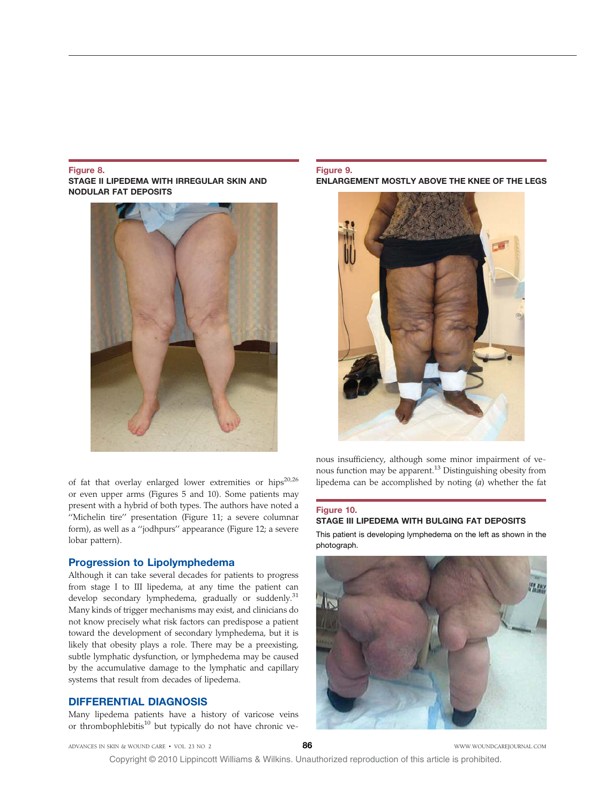#### Figure 8.

STAGE II LIPEDEMA WITH IRREGULAR SKIN AND NODULAR FAT DEPOSITS



of fat that overlay enlarged lower extremities or  $hips^{20,26}$ or even upper arms (Figures 5 and 10). Some patients may present with a hybrid of both types. The authors have noted a ''Michelin tire'' presentation (Figure 11; a severe columnar form), as well as a ''jodhpurs'' appearance (Figure 12; a severe lobar pattern).

# Progression to Lipolymphedema

Although it can take several decades for patients to progress from stage I to III lipedema, at any time the patient can develop secondary lymphedema, gradually or suddenly.<sup>31</sup> Many kinds of trigger mechanisms may exist, and clinicians do not know precisely what risk factors can predispose a patient toward the development of secondary lymphedema, but it is likely that obesity plays a role. There may be a preexisting, subtle lymphatic dysfunction, or lymphedema may be caused by the accumulative damage to the lymphatic and capillary systems that result from decades of lipedema.

# DIFFERENTIAL DIAGNOSIS

Many lipedema patients have a history of varicose veins or thrombophlebitis<sup>10</sup> but typically do not have chronic ve-

# Figure 9.

ENLARGEMENT MOSTLY ABOVE THE KNEE OF THE LEGS



nous insufficiency, although some minor impairment of venous function may be apparent.<sup>13</sup> Distinguishing obesity from lipedema can be accomplished by noting  $(a)$  whether the fat

#### Figure 10. STAGE III LIPEDEMA WITH BULGING FAT DEPOSITS

This patient is developing lymphedema on the left as shown in the photograph.

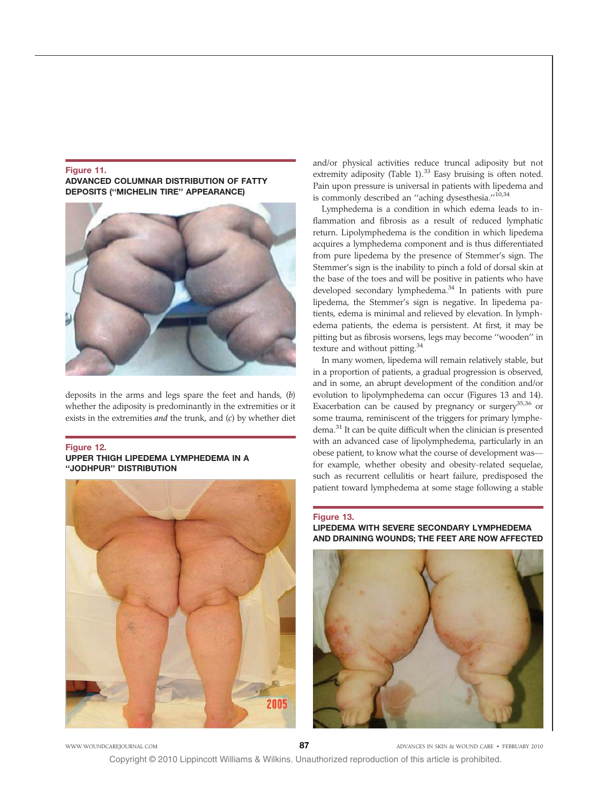### Figure 11.

ADVANCED COLUMNAR DISTRIBUTION OF FATTY DEPOSITS (''MICHELIN TIRE'' APPEARANCE)



deposits in the arms and legs spare the feet and hands,  $(b)$ whether the adiposity is predominantly in the extremities or it exists in the extremities  $and$  the trunk, and  $(c)$  by whether diet

#### Figure 12. UPPER THIGH LIPEDEMA LYMPHEDEMA IN A ''JODHPUR'' DISTRIBUTION



and/or physical activities reduce truncal adiposity but not extremity adiposity (Table 1).<sup>33</sup> Easy bruising is often noted. Pain upon pressure is universal in patients with lipedema and is commonly described an "aching dysesthesia."<sup>10,34</sup>

Lymphedema is a condition in which edema leads to inflammation and fibrosis as a result of reduced lymphatic return. Lipolymphedema is the condition in which lipedema acquires a lymphedema component and is thus differentiated from pure lipedema by the presence of Stemmer's sign. The Stemmer's sign is the inability to pinch a fold of dorsal skin at the base of the toes and will be positive in patients who have developed secondary lymphedema. $34$  In patients with pure lipedema, the Stemmer's sign is negative. In lipedema patients, edema is minimal and relieved by elevation. In lymphedema patients, the edema is persistent. At first, it may be pitting but as fibrosis worsens, legs may become ''wooden'' in texture and without pitting.<sup>34</sup>

In many women, lipedema will remain relatively stable, but in a proportion of patients, a gradual progression is observed, and in some, an abrupt development of the condition and/or evolution to lipolymphedema can occur (Figures 13 and 14). Exacerbation can be caused by pregnancy or surgery $35,36$  or some trauma, reminiscent of the triggers for primary lymphedema.<sup>31</sup> It can be quite difficult when the clinician is presented with an advanced case of lipolymphedema, particularly in an obese patient, to know what the course of development wasfor example, whether obesity and obesity-related sequelae, such as recurrent cellulitis or heart failure, predisposed the patient toward lymphedema at some stage following a stable

#### Figure 13.

LIPEDEMA WITH SEVERE SECONDARY LYMPHEDEMA AND DRAINING WOUNDS; THE FEET ARE NOW AFFECTED



WWW.WOUNDCAREJOURNAL.COM **87 87** ADVANCES IN SKIN & WOUND CARE • FEBRUARY 2010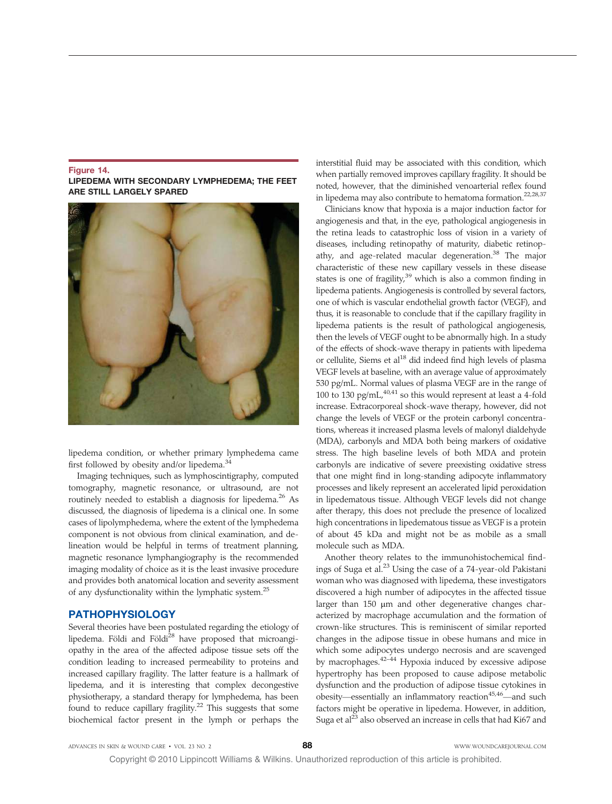#### Figure 14.

LIPEDEMA WITH SECONDARY LYMPHEDEMA; THE FEET ARE STILL LARGELY SPARED



lipedema condition, or whether primary lymphedema came first followed by obesity and/or lipedema.<sup>34</sup>

Imaging techniques, such as lymphoscintigraphy, computed tomography, magnetic resonance, or ultrasound, are not routinely needed to establish a diagnosis for lipedema.<sup>26</sup> As discussed, the diagnosis of lipedema is a clinical one. In some cases of lipolymphedema, where the extent of the lymphedema component is not obvious from clinical examination, and delineation would be helpful in terms of treatment planning, magnetic resonance lymphangiography is the recommended imaging modality of choice as it is the least invasive procedure and provides both anatomical location and severity assessment of any dysfunctionality within the lymphatic system.<sup>25</sup>

# PATHOPHYSIOLOGY

Several theories have been postulated regarding the etiology of lipedema. Földi and Földi<sup>28</sup> have proposed that microangiopathy in the area of the affected adipose tissue sets off the condition leading to increased permeability to proteins and increased capillary fragility. The latter feature is a hallmark of lipedema, and it is interesting that complex decongestive physiotherapy, a standard therapy for lymphedema, has been found to reduce capillary fragility.<sup>22</sup> This suggests that some biochemical factor present in the lymph or perhaps the interstitial fluid may be associated with this condition, which when partially removed improves capillary fragility. It should be noted, however, that the diminished venoarterial reflex found in lipedema may also contribute to hematoma formation.<sup>22,28,37</sup>

Clinicians know that hypoxia is a major induction factor for angiogenesis and that, in the eye, pathological angiogenesis in the retina leads to catastrophic loss of vision in a variety of diseases, including retinopathy of maturity, diabetic retinopathy, and age-related macular degeneration.<sup>38</sup> The major characteristic of these new capillary vessels in these disease states is one of fragility, $39$  which is also a common finding in lipedema patients. Angiogenesis is controlled by several factors, one of which is vascular endothelial growth factor (VEGF), and thus, it is reasonable to conclude that if the capillary fragility in lipedema patients is the result of pathological angiogenesis, then the levels of VEGF ought to be abnormally high. In a study of the effects of shock-wave therapy in patients with lipedema or cellulite, Siems et al<sup>18</sup> did indeed find high levels of plasma VEGF levels at baseline, with an average value of approximately 530 pg/mL. Normal values of plasma VEGF are in the range of 100 to 130 pg/mL $^{40,41}_{\prime}$  so this would represent at least a 4-fold increase. Extracorporeal shock-wave therapy, however, did not change the levels of VEGF or the protein carbonyl concentrations, whereas it increased plasma levels of malonyl dialdehyde (MDA), carbonyls and MDA both being markers of oxidative stress. The high baseline levels of both MDA and protein carbonyls are indicative of severe preexisting oxidative stress that one might find in long-standing adipocyte inflammatory processes and likely represent an accelerated lipid peroxidation in lipedematous tissue. Although VEGF levels did not change after therapy, this does not preclude the presence of localized high concentrations in lipedematous tissue as VEGF is a protein of about 45 kDa and might not be as mobile as a small molecule such as MDA.

Another theory relates to the immunohistochemical findings of Suga et al.<sup>23</sup> Using the case of a 74-year-old Pakistani woman who was diagnosed with lipedema, these investigators discovered a high number of adipocytes in the affected tissue larger than 150 µm and other degenerative changes characterized by macrophage accumulation and the formation of crown-like structures. This is reminiscent of similar reported changes in the adipose tissue in obese humans and mice in which some adipocytes undergo necrosis and are scavenged by macrophages.<sup>42–44</sup> Hypoxia induced by excessive adipose hypertrophy has been proposed to cause adipose metabolic dysfunction and the production of adipose tissue cytokines in obesity—essentially an inflammatory reaction<sup>45,46</sup>—and such factors might be operative in lipedema. However, in addition, Suga et al $^{23}$  also observed an increase in cells that had Ki67 and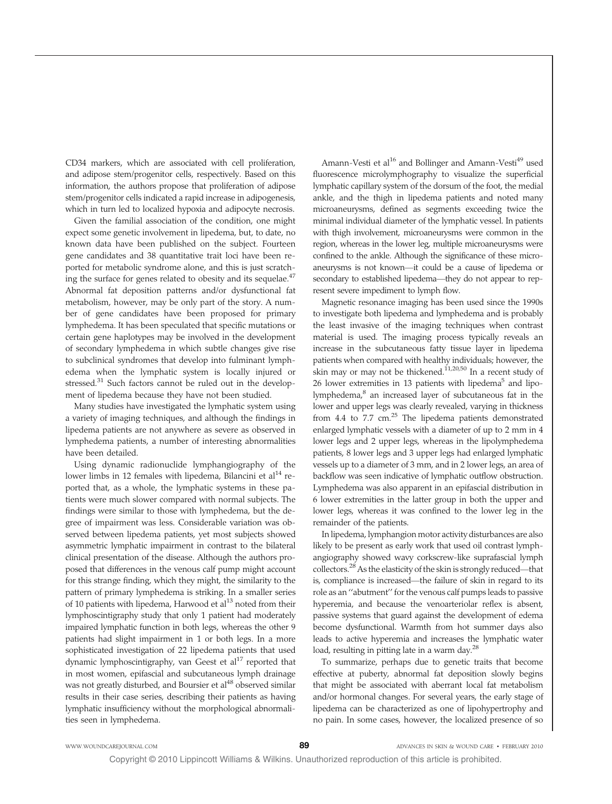CD34 markers, which are associated with cell proliferation, and adipose stem/progenitor cells, respectively. Based on this information, the authors propose that proliferation of adipose stem/progenitor cells indicated a rapid increase in adipogenesis, which in turn led to localized hypoxia and adipocyte necrosis.

Given the familial association of the condition, one might expect some genetic involvement in lipedema, but, to date, no known data have been published on the subject. Fourteen gene candidates and 38 quantitative trait loci have been reported for metabolic syndrome alone, and this is just scratching the surface for genes related to obesity and its sequelae. $47$ Abnormal fat deposition patterns and/or dysfunctional fat metabolism, however, may be only part of the story. A number of gene candidates have been proposed for primary lymphedema. It has been speculated that specific mutations or certain gene haplotypes may be involved in the development of secondary lymphedema in which subtle changes give rise to subclinical syndromes that develop into fulminant lymphedema when the lymphatic system is locally injured or stressed.<sup>31</sup> Such factors cannot be ruled out in the development of lipedema because they have not been studied.

Many studies have investigated the lymphatic system using a variety of imaging techniques, and although the findings in lipedema patients are not anywhere as severe as observed in lymphedema patients, a number of interesting abnormalities have been detailed.

Using dynamic radionuclide lymphangiography of the lower limbs in 12 females with lipedema, Bilancini et al<sup>14</sup> reported that, as a whole, the lymphatic systems in these patients were much slower compared with normal subjects. The findings were similar to those with lymphedema, but the degree of impairment was less. Considerable variation was observed between lipedema patients, yet most subjects showed asymmetric lymphatic impairment in contrast to the bilateral clinical presentation of the disease. Although the authors proposed that differences in the venous calf pump might account for this strange finding, which they might, the similarity to the pattern of primary lymphedema is striking. In a smaller series of 10 patients with lipedema, Harwood et al<sup>13</sup> noted from their lymphoscintigraphy study that only 1 patient had moderately impaired lymphatic function in both legs, whereas the other 9 patients had slight impairment in 1 or both legs. In a more sophisticated investigation of 22 lipedema patients that used dynamic lymphoscintigraphy, van Geest et al<sup>17</sup> reported that in most women, epifascial and subcutaneous lymph drainage was not greatly disturbed, and Boursier et al<sup>48</sup> observed similar results in their case series, describing their patients as having lymphatic insufficiency without the morphological abnormalities seen in lymphedema.

Amann-Vesti et al<sup>16</sup> and Bollinger and Amann-Vesti<sup>49</sup> used fluorescence microlymphography to visualize the superficial lymphatic capillary system of the dorsum of the foot, the medial ankle, and the thigh in lipedema patients and noted many microaneurysms, defined as segments exceeding twice the minimal individual diameter of the lymphatic vessel. In patients with thigh involvement, microaneurysms were common in the region, whereas in the lower leg, multiple microaneurysms were confined to the ankle. Although the significance of these microaneurysms is not known-it could be a cause of lipedema or secondary to established lipedema—they do not appear to represent severe impediment to lymph flow.

Magnetic resonance imaging has been used since the 1990s to investigate both lipedema and lymphedema and is probably the least invasive of the imaging techniques when contrast material is used. The imaging process typically reveals an increase in the subcutaneous fatty tissue layer in lipedema patients when compared with healthy individuals; however, the skin may or may not be thickened.<sup>11,20,50</sup> In a recent study of 26 lower extremities in 13 patients with lipedema<sup>5</sup> and lipolymphedema,<sup>8</sup> an increased layer of subcutaneous fat in the lower and upper legs was clearly revealed, varying in thickness from  $4.4$  to  $7.7$  cm. $25$  The lipedema patients demonstrated enlarged lymphatic vessels with a diameter of up to 2 mm in 4 lower legs and 2 upper legs, whereas in the lipolymphedema patients, 8 lower legs and 3 upper legs had enlarged lymphatic vessels up to a diameter of 3 mm, and in 2 lower legs, an area of backflow was seen indicative of lymphatic outflow obstruction. Lymphedema was also apparent in an epifascial distribution in 6 lower extremities in the latter group in both the upper and lower legs, whereas it was confined to the lower leg in the remainder of the patients.

In lipedema, lymphangion motor activity disturbances are also likely to be present as early work that used oil contrast lymphangiography showed wavy corkscrew-like suprafascial lymph collectors.<sup>28</sup> As the elasticity of the skin is strongly reduced—that is, compliance is increased—the failure of skin in regard to its role as an ''abutment'' for the venous calf pumps leads to passive hyperemia, and because the venoarteriolar reflex is absent, passive systems that guard against the development of edema become dysfunctional. Warmth from hot summer days also leads to active hyperemia and increases the lymphatic water load, resulting in pitting late in a warm day. $^{28}$ 

To summarize, perhaps due to genetic traits that become effective at puberty, abnormal fat deposition slowly begins that might be associated with aberrant local fat metabolism and/or hormonal changes. For several years, the early stage of lipedema can be characterized as one of lipohypertrophy and no pain. In some cases, however, the localized presence of so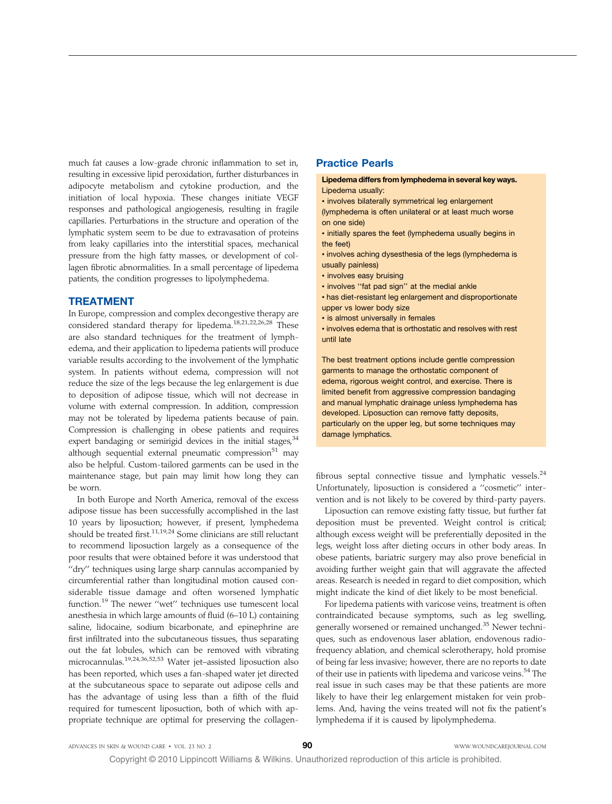much fat causes a low-grade chronic inflammation to set in, resulting in excessive lipid peroxidation, further disturbances in adipocyte metabolism and cytokine production, and the initiation of local hypoxia. These changes initiate VEGF responses and pathological angiogenesis, resulting in fragile capillaries. Perturbations in the structure and operation of the lymphatic system seem to be due to extravasation of proteins from leaky capillaries into the interstitial spaces, mechanical pressure from the high fatty masses, or development of collagen fibrotic abnormalities. In a small percentage of lipedema patients, the condition progresses to lipolymphedema.

# TREATMENT

In Europe, compression and complex decongestive therapy are considered standard therapy for lipedema.18,21,22,26,28 These are also standard techniques for the treatment of lymphedema, and their application to lipedema patients will produce variable results according to the involvement of the lymphatic system. In patients without edema, compression will not reduce the size of the legs because the leg enlargement is due to deposition of adipose tissue, which will not decrease in volume with external compression. In addition, compression may not be tolerated by lipedema patients because of pain. Compression is challenging in obese patients and requires expert bandaging or semirigid devices in the initial stages,  $34$ although sequential external pneumatic compression $51$  may also be helpful. Custom-tailored garments can be used in the maintenance stage, but pain may limit how long they can be worn.

In both Europe and North America, removal of the excess adipose tissue has been successfully accomplished in the last 10 years by liposuction; however, if present, lymphedema should be treated first.11,19,24 Some clinicians are still reluctant to recommend liposuction largely as a consequence of the poor results that were obtained before it was understood that "dry" techniques using large sharp cannulas accompanied by circumferential rather than longitudinal motion caused considerable tissue damage and often worsened lymphatic function.<sup>19</sup> The newer "wet" techniques use tumescent local anesthesia in which large amounts of fluid (6–10 L) containing saline, lidocaine, sodium bicarbonate, and epinephrine are first infiltrated into the subcutaneous tissues, thus separating out the fat lobules, which can be removed with vibrating microcannulas.19,24,36,52,53 Water jet–assisted liposuction also has been reported, which uses a fan-shaped water jet directed at the subcutaneous space to separate out adipose cells and has the advantage of using less than a fifth of the fluid required for tumescent liposuction, both of which with appropriate technique are optimal for preserving the collagen-

# Practice Pearls

Lipedema differs from lymphedema in several key ways. Lipedema usually:

• involves bilaterally symmetrical leg enlargement

(lymphedema is often unilateral or at least much worse on one side)

& initially spares the feet (lymphedema usually begins in the feet)

 $\cdot$  involves aching dysesthesia of the legs (lymphedema is usually painless)

- involves easy bruising
- & involves ''fat pad sign'' at the medial ankle

• has diet-resistant leg enlargement and disproportionate upper vs lower body size

**• is almost universally in females** 

& involves edema that is orthostatic and resolves with rest until late

The best treatment options include gentle compression garments to manage the orthostatic component of edema, rigorous weight control, and exercise. There is limited benefit from aggressive compression bandaging and manual lymphatic drainage unless lymphedema has developed. Liposuction can remove fatty deposits, particularly on the upper leg, but some techniques may damage lymphatics.

fibrous septal connective tissue and lymphatic vessels. $24$ Unfortunately, liposuction is considered a ''cosmetic'' intervention and is not likely to be covered by third-party payers.

Liposuction can remove existing fatty tissue, but further fat deposition must be prevented. Weight control is critical; although excess weight will be preferentially deposited in the legs, weight loss after dieting occurs in other body areas. In obese patients, bariatric surgery may also prove beneficial in avoiding further weight gain that will aggravate the affected areas. Research is needed in regard to diet composition, which might indicate the kind of diet likely to be most beneficial.

For lipedema patients with varicose veins, treatment is often contraindicated because symptoms, such as leg swelling, generally worsened or remained unchanged.<sup>35</sup> Newer techniques, such as endovenous laser ablation, endovenous radiofrequency ablation, and chemical sclerotherapy, hold promise of being far less invasive; however, there are no reports to date of their use in patients with lipedema and varicose veins.<sup>54</sup> The real issue in such cases may be that these patients are more likely to have their leg enlargement mistaken for vein problems. And, having the veins treated will not fix the patient's lymphedema if it is caused by lipolymphedema.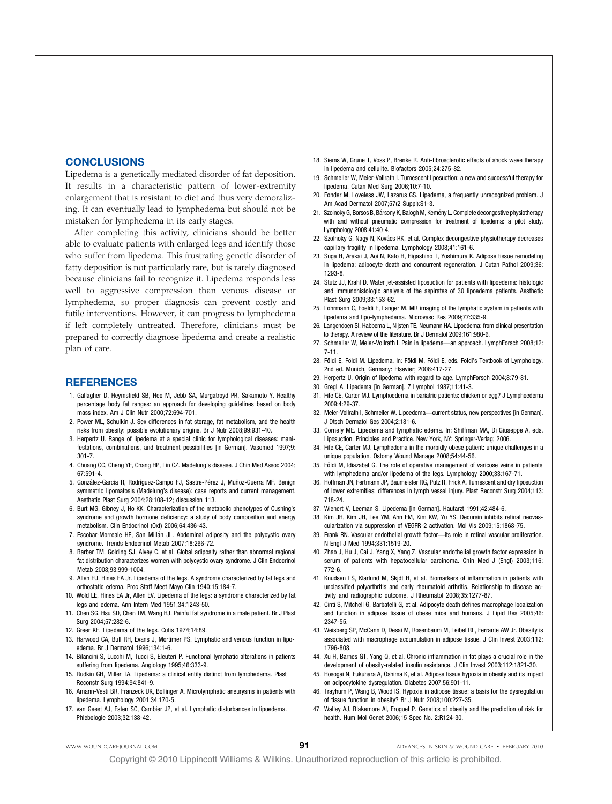# **CONCLUSIONS**

Lipedema is a genetically mediated disorder of fat deposition. It results in a characteristic pattern of lower-extremity enlargement that is resistant to diet and thus very demoralizing. It can eventually lead to lymphedema but should not be mistaken for lymphedema in its early stages.

After completing this activity, clinicians should be better able to evaluate patients with enlarged legs and identify those who suffer from lipedema. This frustrating genetic disorder of fatty deposition is not particularly rare, but is rarely diagnosed because clinicians fail to recognize it. Lipedema responds less well to aggressive compression than venous disease or lymphedema, so proper diagnosis can prevent costly and futile interventions. However, it can progress to lymphedema if left completely untreated. Therefore, clinicians must be prepared to correctly diagnose lipedema and create a realistic plan of care.

#### **REFERENCES**

- 1. Gallagher D, Heymsfield SB, Heo M, Jebb SA, Murgatroyd PR, Sakamoto Y. Healthy percentage body fat ranges: an approach for developing guidelines based on body mass index. Am J Clin Nutr 2000;72:694-701.
- 2. Power ML, Schulkin J. Sex differences in fat storage, fat metabolism, and the health risks from obesity: possible evolutionary origins. Br J Nutr 2008;99:931-40.
- 3. Herpertz U. Range of lipedema at a special clinic for lymphological diseases: manifestations, combinations, and treatment possibilities [in German]. Vasomed 1997;9: 301-7.
- 4. Chuang CC, Cheng YF, Chang HP, Lin CZ. Madelung's disease. J Chin Med Assoc 2004; 67:591-4.
- 5. González-Garcia R, Rodríguez-Campo FJ, Sastre-Pérez J, Muñoz-Guerra MF. Benign symmetric lipomatosis (Madelung's disease): case reports and current management. Aesthetic Plast Surg 2004;28:108-12; discussion 113.
- 6. Burt MG, Gibney J, Ho KK. Characterization of the metabolic phenotypes of Cushing's syndrome and growth hormone deficiency: a study of body composition and energy metabolism. Clin Endocrinol (Oxf) 2006;64:436-43.
- 7. Escobar-Morreale HF, San Millán JL. Abdominal adiposity and the polycystic ovary syndrome. Trends Endocrinol Metab 2007;18:266-72.
- 8. Barber TM, Golding SJ, Alvey C, et al. Global adiposity rather than abnormal regional fat distribution characterizes women with polycystic ovary syndrome. J Clin Endocrinol Metab 2008;93:999-1004.
- 9. Allen EU, Hines EA Jr. Lipedema of the legs. A syndrome characterized by fat legs and orthostatic edema. Proc Staff Meet Mayo Clin 1940;15:184-7.
- 10. Wold LE, Hines EA Jr, Allen EV. Lipedema of the legs: a syndrome characterized by fat legs and edema. Ann Intern Med 1951;34:1243-50.
- 11. Chen SG, Hsu SD, Chen TM, Wang HJ. Painful fat syndrome in a male patient. Br J Plast Surg 2004;57:282-6.
- 12. Greer KE. Lipedema of the legs. Cutis 1974;14:89.
- 13. Harwood CA, Bull RH, Evans J, Mortimer PS. Lymphatic and venous function in lipoedema. Br J Dermatol 1996;134:1-6.
- 14. Bilancini S, Lucchi M, Tucci S, Eleuteri P. Functional lymphatic alterations in patients suffering from lipedema. Angiology 1995;46:333-9.
- 15. Rudkin GH, Miller TA. Lipedema: a clinical entity distinct from lymphedema. Plast Reconstr Surg 1994;94:841-9.
- 16. Amann-Vesti BR, Franzeck UK, Bollinger A. Microlymphatic aneurysms in patients with lipedema. Lymphology 2001;34:170-5.
- 17. van Geest AJ, Esten SC, Cambier JP, et al. Lymphatic disturbances in lipoedema. Phlebologie 2003;32:138-42.
- 18. Siems W, Grune T, Voss P, Brenke R. Anti-fibrosclerotic effects of shock wave therapy in lipedema and cellulite. Biofactors 2005;24:275-82.
- 19. Schmeller W, Meier-Vollrath I. Tumescent liposuction: a new and successful therapy for lipedema. Cutan Med Surg 2006;10:7-10.
- 20. Fonder M, Loveless JW, Lazarus GS. Lipedema, a frequently unrecognized problem. J Am Acad Dermatol 2007;57(2 Suppl):S1-3.
- 21. Szolnoky G, Borsos B, Bársony K, Balogh M, Kemény L. Complete decongestive physiotherapy with and without pneumatic compression for treatment of lipedema: a pilot study. Lymphology 2008;41:40-4.
- 22. Szolnoky G, Nagy N, Kovács RK, et al. Complex decongestive physiotherapy decreases capillary fragility in lipedema. Lymphology 2008;41:161-6.
- 23. Suga H, Arakai J, Aoi N, Kato H, Higashino T, Yoshimura K. Adipose tissue remodeling in lipedema: adipocyte death and concurrent regeneration. J Cutan Pathol 2009;36: 1293-8.
- 24. Stutz JJ, Krahl D. Water jet-assisted liposuction for patients with lipoedema: histologic and immunohistologic analysis of the aspirates of 30 lipoedema patients. Aesthetic Plast Surg 2009;33:153-62.
- 25. Lohrmann C, Foeldi E, Langer M. MR imaging of the lymphatic system in patients with lipedema and lipo-lymphedema. Microvasc Res 2009;77:335-9.
- 26. Langendoen SI, Habbema L, Nijsten TE, Neumann HA. Lipoedema: from clinical presentation to therapy. A review of the literature. Br J Dermatol 2009;161:980-6.
- 27. Schmeller W, Meier-Vollrath I. Pain in lipedema-an approach. LymphForsch 2008;12: 7-11.
- 28. Földi E, Földi M. Lipedema. In: Földi M, Földi E, eds. Földi's Textbook of Lymphology. 2nd ed. Munich, Germany: Elsevier; 2006:417-27.
- 29. Herpertz U. Origin of lipedema with regard to age. LymphForsch 2004;8:79-81.
- 30. Gregl A. Lipedema [in German]. Z Lymphol 1987;11:41-3.
- 31. Fife CE, Carter MJ. Lymphoedema in bariatric patients: chicken or egg? J Lymphoedema 2009;4:29-37.
- 32. Meier-Vollrath I, Schmeller W. Lipoedema-current status, new perspectives [in German]. J Dtsch Dermatol Ges 2004;2:181-6.
- 33. Cornely ME. Lipedema and lymphatic edema. In: Shiffman MA, Di Giuseppe A, eds. Liposuction. Principles and Practice. New York, NY: Springer-Verlag; 2006.
- 34. Fife CE, Carter MJ. Lymphedema in the morbidly obese patient: unique challenges in a unique population. Ostomy Wound Manage 2008;54:44-56.
- 35. Földi M, Idiazabal G. The role of operative management of varicose veins in patients with lymphedema and/or lipedema of the legs. Lymphology 2000;33:167-71.
- 36. Hoffman JN, Fertmann JP, Baumeister RG, Putz R, Frick A. Tumescent and dry liposuction of lower extremities: differences in lymph vessel injury. Plast Reconstr Surg 2004;113: 718-24.
- 37. Wienert V, Leeman S. Lipedema [in German]. Hautarzt 1991;42:484-6.
- 38. Kim JH, Kim JH, Lee YM, Ahn EM, Kim KW, Yu YS. Decursin inhibits retinal neovascularization via suppression of VEGFR-2 activation. Mol Vis 2009;15:1868-75.
- 39. Frank RN. Vascular endothelial growth factor-its role in retinal vascular proliferation. N Engl J Med 1994;331:1519-20.
- 40. Zhao J, Hu J, Cai J, Yang X, Yang Z. Vascular endothelial growth factor expression in serum of patients with hepatocellular carcinoma. Chin Med J (Engl) 2003;116: 772-6.
- 41. Knudsen LS, Klarlund M, Skjdt H, et al. Biomarkers of inflammation in patients with unclassified polyarthritis and early rheumatoid arthritis. Relationship to disease activity and radiographic outcome. J Rheumatol 2008;35:1277-87.
- 42. Cinti S, Mitchell G, Barbatelli G, et al. Adipocyte death defines macrophage localization and function in adipose tissue of obese mice and humans. J Lipid Res 2005;46: 2347-55.
- 43. Weisberg SP, McCann D, Desai M, Rosenbaum M, Leibel RL, Ferrante AW Jr. Obesity is associated with macrophage accumulation in adipose tissue. J Clin Invest 2003;112: 1796-808.
- 44. Xu H, Barnes GT, Yang Q, et al. Chronic inflammation in fat plays a crucial role in the development of obesity-related insulin resistance. J Clin Invest 2003;112:1821-30.
- 45. Hosogai N, Fukuhara A, Oshima K, et al. Adipose tissue hypoxia in obesity and its impact on adipocytokine dysregulation. Diabetes 2007;56:901-11.
- 46. Trayhurn P, Wang B, Wood IS. Hypoxia in adipose tissue: a basis for the dysregulation of tissue function in obesity? Br J Nutr 2008;100:227-35.
- 47. Walley AJ, Blakemore AI, Froguel P. Genetics of obesity and the prediction of risk for health. Hum Mol Genet 2006;15 Spec No. 2:R124-30.